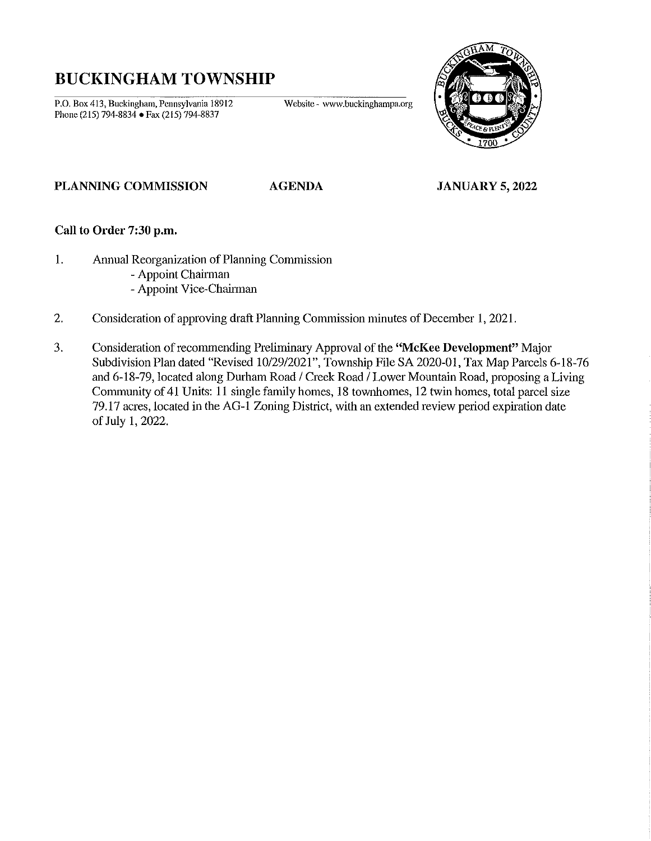# **BUCKINGHAM TOWNSHIP**

P.O. Box 413, Buckingham, Pennsylvania 18912 Website - www.buckinghampa.org Phone (215) 794-8834 • Fax (215) 794-8837



## PLANNING COMMISSION AGENDA JANUARY 5, 2022

## Call to Order 7:30 p.m.

- 1. Annual Reorganization of Planning Commission
	- Appoint Chairman
	- Appoint Vice-Chairman
- 2. Consideration of approving draft Planning Commission minutes of December I, 2021.
- 3. Consideration of recommending Prelimimuy Approval of the "McKee Development" Major Subdivision Plan dated "Revised *10/29/2021",* Township File SA 2020-01, Tax Map Parcels 6-18-76 and 6-18-79, located along Durham Road *1* Creek Road *1* Lower Mountain Road, proposing a Living Community of 41 Units: 11 single family homes, 18 townhomes, 12 twin homes, total parcel size 79.17 acres, located in the AG-l Zoning District, with an extended review period expiration date of July 1,2022.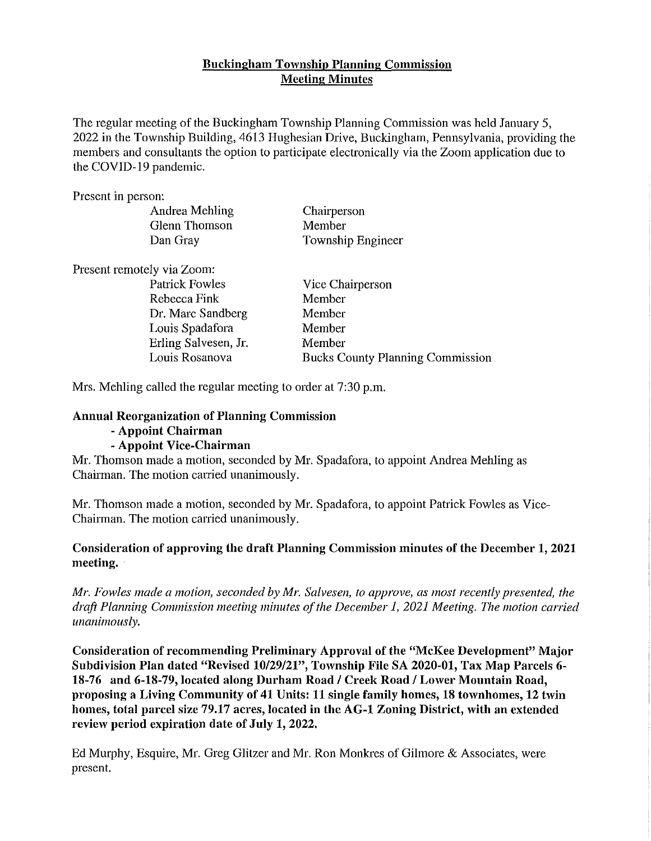# Buckingham Township Planning Commission Meeting Minutes

The regular meeting of the Buckingham Township Planning Commission was held January 5, 2022 in the Township Building, 4613 Hughesian Drive, Buckingham, Pennsylvania, providing the members and consultants the option to participate electronically via the Zoom application due to the COVID-19 pandemic.

Present in person:

| Andrea Mehling             | Chairperson       |
|----------------------------|-------------------|
| Glenn Thomson              | Member            |
| Dan Gray                   | Township Engineer |
| Present remotely via Zoom: |                   |
| <b>Patrick Fowles</b>      | Vice Chairperson  |
| Dahaaaa Finle              | $M$ ombou         |

| <b>Fairlek</b> FOWIES | vice Chairperson                        |
|-----------------------|-----------------------------------------|
| Rebecca Fink          | Member                                  |
| Dr. Marc Sandberg     | Member                                  |
| Louis Spadafora       | Member                                  |
| Erling Salvesen, Jr.  | Member                                  |
| Louis Rosanova        | <b>Bucks County Planning Commission</b> |

Mrs. Mehling called the regular meeting to order at 7:30 p.m.

## Annual Reorganization of Planning Commission

## - Appoint Chairman

# - Appoint Vice-Chairman

Mr. Thomson made a motion, seconded by Mr. Spadafora, to appoint Andrea Mehling as Chairman. The motion carried unanimously.

Mr. Thomson made a motion, seconded by Mr. Spadafora, to appoint Patrick Fowles as Vice-Chairman. The motion carried unanimously.

# Consideration of approving the draft Planning Commission minutes of the December 1,2021 meeting.

*Mr. Fowles made a motion, seconded by Mr. Salvesen, to approve, as most recently presented, the draft Planning Commission meeting minutes of the December 1,2021 Meeting. The motion carried unanimously.* 

Consideration of recommending Preliminary Approval of the "McKee Development" Major Subdivision Plan dated "Revised 10/29/21", Township File SA 2020-01, Tax Map Parcels 6-18-76 and 6-18-79, located along Durham Road / Creek Road / Lower Mountain Road, proposing a Living Community of 41 Units: 11 single family homes, 18 townhomes, 12 twin homes, total parcel size 79.17 acres, located in the AG-l Zoning District, with an extended review period expiration date of July 1, 2022.

Ed Murphy, Esquire, Mr. Greg Glitzer and Mr. Ron Monkres of Gilmore & Associates, were present.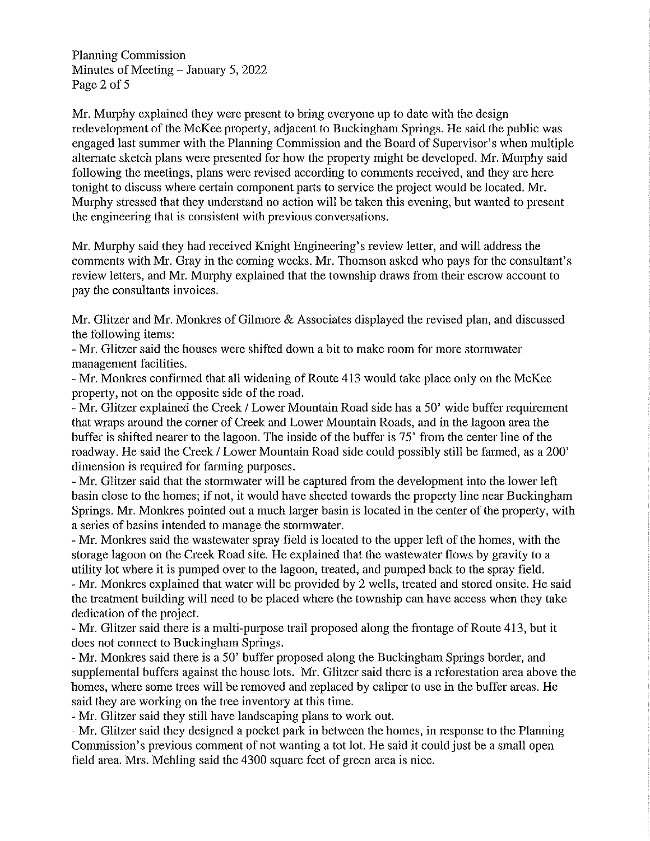Planning Commission Minutes of Meeting  $-$  January 5, 2022 Page 2 of 5

Mr. Murphy explained they were present to bring everyone up to date with the design redevelopment of the McKee property, adjacent to Buckingham Springs. He said the publie was engaged last summer with the Planning Commission and the Board of Supervisor's when multiple alternate sketch plans were presented for how the property might be developed. Mr. Murphy said following the meetings, plans were revised according to comments received, and they are here tonight to discuss where certain component parts to service the project would be located. Mr. Murphy stressed that they understand no action will be taken this evening, but wanted to present the engineering that is consistent with previous conversations.

Mr. Murphy said they had received Knight Engineering's review letter, and will address the comments with Mr. Gray in the coming weeks. Mr. Thomson asked who pays for the consultant's review letters, and Mr. Murphy explained that the township draws from their escrow account to pay the consultants invoices.

Mr. Glitzer and Mr. Monkres of Gilmore & Associates displayed the revised plan, and discussed the following items:

- Mr. Glitzer said the houses were shifted down a bit to make room for more stormwater management facilities.

- Mr. Monkres confirmed that all widening of Route 413 would take place only on the McKee property, not on the opposite side of the road.

- Mr. Glitzer explained the Creek / Lower Mountain Road side has a 50' wide buffer requirement that wraps around the corner of Creek and Lower Mountain Roads, and in the lagoon area the buffer is shifted nearer to the lagoon. The inside of the buffer is 75' from the center line of the roadway. He said the Creek / Lower Mountain Road side could possibly still be farmed, as a 200' dimension is required for farming purposes.

- Mr. Glitzer said that the stormwater will be captured from the development into the lower left basin close to the homes; if not, it would have sheeted towards the property line near Buckingham Springs. Mr. Monkres pointed out a much larger basin is located in the center of the property, with a series of basins intended to manage the stormwater.

- Mr. Monkres said the wastewater spray field is located to the upper left of the homes, with the storage lagoon on the Creek Road site. He explained that the wastewater flows by gravity to a utility lot where it is pumped over to the lagoon, treated, and pumped back to the spray field.

- Mr. Monkres explained that water will be provided by 2 wells, treated and stored onsite. He said the treatment building will need to be placed where the township can have access when they take dedication of the project.

- Mr. Glitzer said there is a multi-purpose trail proposed along the frontage of Route 413, but it does not connect to Buckingham Springs.

- Mr. Monkres said there is a 50' buffer proposed along the Buckingham Springs border, and supplemental buffers against the house lots. Mr. Glitzer said there is a reforestation area above the homes, where some trees will be removed and replaced by caliper to use in the buffer areas. He said they are working on the tree inventory at this time.

- Mr. Glitzer said they still have landscaping plans to work out.

- Mr. Glitzer said they designed a pocket park in between the homes, in response to the Planning Commission's previous comment of not wanting a tot lot. He said it could just be a small open field area. Mrs. Mehling said the 4300 square feet of green area is nice.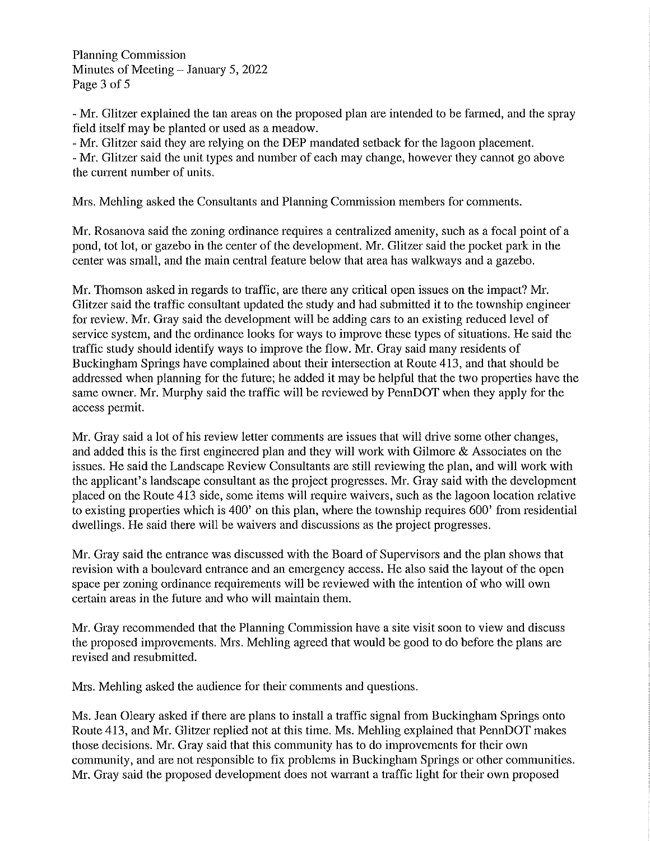Planning Commission Minutes of Meeting - January 5, 2022 Page 3 of 5

- Mr. Glitzer explained the tan areas on the proposed plan are intended to be fanned, and the spray field itself may be planted or used as a meadow.

- Mr. Glitzer said they are relying on the DEP mandated setback for the lagoon placement. - Mr. Glitzer said the unit types and number of each may change, however they cannot go above the current number of units.

Mrs. Mehling asked the Consultants and Planning Commission members for comments.

Mr. Rosanova said the zoning ordinance requires a centralized amenity, such as a focal point of a pond, tot lot, or gazebo in the center of the development. Mr. Glitzer said the pocket park in the center was small, and the main central feature below that area has walkways and a gazebo.

Mr. Thomson asked in regards to traffic, are there any critical open issues on the impact? Mr. Glitzer said the traffic consultant updated the study and had submitted it to the township engineer for review. Mr. Gray said the development will be adding cars to an existing reduced level of service system, and the ordinance looks for ways to improve these types of situations. He said the traffic study should identify ways to improve the flow. Mr. Gray said many residents of Bnckingham Springs have complained about their intersection at Route 413, and that should be addressed when planning for the future; he added it may be helpful that the two properties have the same owner. Mr. Murphy said the traffic will be reviewed by PennDOT when they apply for the access permit.

Mr. Gray said a lot of his review letter comments are issues that will drive some other changes, and added this is the first engineered plan and they will work with Gilmore & Associates on the issues. He said the Landseape Review Consultants are still reviewing the plan, and will work with the applicant's landscape consultant as the project progresses. Mr. Gray said with the development placed on the Ronte 413 side, some items will require waivers, such as the lagoon location relative to existing properties which is 400' on this plan, where the township requires 600' from residential dwellings. He said there will be waivers and discussions as the project progresses.

Mr. Gray said the entrance was discussed with the Board of Supervisors and the plan shows that revision with a boulevard entrance and an emergency access. He also said the layout of the open space per zoning ordinance requirements will be reviewed with the intention of who will own certain areas in the future and who will maintain them.

Mr. Gray recommended that the Planning Commission have a site visit soon to view and discuss the proposed improvements. Mrs. Mehling agreed that would be good to do before the plans are revised and resubmitted.

Mrs. Mehling asked the audience for their comments and questions.

Ms. Jean Oleary asked if there are plans to install a traffic signal from Buckingham Springs onto Route 413, and Mr. Glitzer replied not at this time. Ms. Mehling explained that PennDOT makes those decisions. Mr. Gray said that this community has to do improvements for their own community, and are not responsible to fix problems in Buckingham Springs or other communities. Mr. Gray said the proposed development does not warrant a traffic light for their own proposed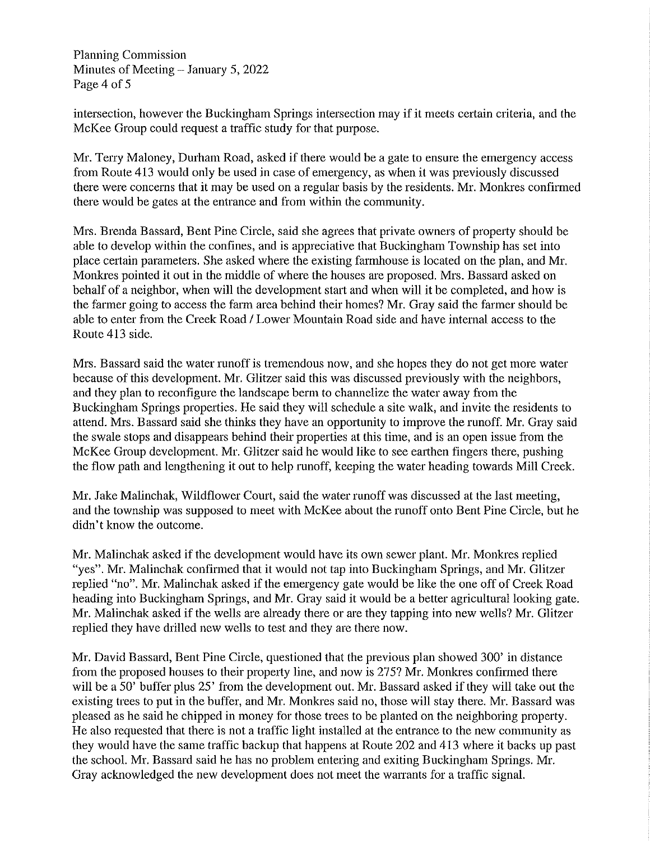Planning Commission Minutes of Meeting  $-$  January 5, 2022 Page 4 of 5

intersection, however the Buckingham Springs intersection may if it meets certain criteria, and the McKee Group could request a traffic study for that purpose.

Mr. Terry Maloney, Durham Road, asked if there would be a gate to ensure the emergency access from Route 413 would only be used in case of emergency, as when it was previously discussed there were concerns that it may be used on a regular basis by the residents. Mr. Monkres confirmed there would be gates at the entrance and from within the community.

Mrs. Brenda Bassard, Bent Pine Circle, said she agrees that private owners of property should be able to develop within the confines, and is appreciative that Buckingham Township has set into place certain parameters. She asked where the existing farmhouse is located on the plan, and Mr. Monkres pointed it out in the middle of where the houses are proposed. Mrs. Bassard asked on behalf of a neighbor, when will the development start and when will it be completed, and how is the farmer going to access the farm area behind their homes? Mr. Gray said the farmer should be able to enter from the Creek Road / Lower Mountain Road side and have internal access to the Route 413 side.

Mrs. Bassard said the water runoff is tremendous now, and she hopes they do not get more water because of this development. Mr. Glitzer said this was discussed previously with the neighbors, and they plan to reconfigure the landscape berm to channelize the water away from the Buckingham Springs properties. He said they will schedule a site walk, and invite the residents to attend. Mrs. Bassard said she thinks they have an opportunity to improve the runoff. Mr. Gray said the swale stops and disappears behind their properties at this time, and is an open issue from the McKee Group development. Mr. Glitzer said he would like to see earthen fingers there, pushing the flow path and lengthening it out to help runoff, keeping the water heading towards Mill Creek.

Mr. Jake Malinchak, Wildflower Court, said the water runoff was discussed at the last meeting, and the township was supposed to meet with McKee about the runoff onto Bent Pine Circle, but he didn't know the outcome.

Mr. Malinchak asked if the development would have its own sewer plant. Mr. Monkres replied "yes". Mr. Malinchak confirmed that it would not tap into Buckingham Springs, and Mr. Glitzer replied "no". Mr. Malinchak asked if the emergency gate would be like the one off of Creek Road heading into Buckingham Springs, and Mr. Gray said it would be a better agricultural looking gate. Mr. Malinchak asked if the wells are already there or are they tapping into new wells? Mr. Glitzer replied they have drilled new wells to test and they are there now.

Mr. David Bassard, Bent Pine Circle, questioned that the previous plan showed 300' in distance from the proposed houses to their property line, and now is 275? Mr. Monkres confirmed there will be a 50' buffer plus 25' from the development out. Mr. Bassard asked if they will take out the existing trees to put in the buffer, and Mr. Monkres said no, those will stay there. Mr. Bassard was pleased as he said he chipped in money for those trees to be planted on the neighboring property. He also requested that there is not a traffic light installed at the entrance to the new community as they would have the same traffic backup that happens at Route 202 and 413 where it backs up past the school. Mr. Bassard said he has no problem entering and exiting Buckingham Springs. Mr. Gray acknowledged the new development does not meet the warrants for a traffic signal.